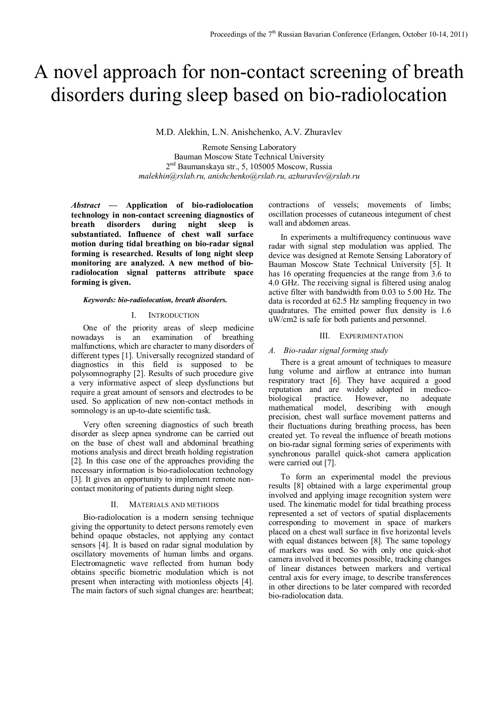# A novel approach for non-contact screening of breath disorders during sleep based on bio-radiolocation

M.D. Alekhin, L.N. Anishchenko, A.V. Zhuravlev

Remote Sensing Laboratory Bauman Moscow State Technical University 2 nd Baumanskaya str., 5, 105005 Moscow, Russia *malekhin@rslab.ru, anishchenko@rslab.ru, azhuravlev@rslab.ru*

*Abstract —* **Application of bio-radiolocation technology in non-contact screening diagnostics of breath** disorders during night sleep **substantiated. Influence of chest wall surface motion during tidal breathing on bio-radar signal forming is researched. Results of long night sleep monitoring are analyzed. A new method of bioradiolocation signal patterns attribute space forming is given.**

#### *Keywords: bio-radiolocation, breath disorders.*

# I. INTRODUCTION

One of the priority areas of sleep medicine nowadays is an examination of breathing malfunctions, which are character to many disorders of different types [1]. Universally recognized standard of diagnostics in this field is supposed to be polysomnography [2]. Results of such procedure give a very informative aspect of sleep dysfunctions but require a great amount of sensors and electrodes to be used. So application of new non-contact methods in somnology is an up-to-date scientific task.

Very often screening diagnostics of such breath disorder as sleep apnea syndrome can be carried out on the base of chest wall and abdominal breathing motions analysis and direct breath holding registration [2]. In this case one of the approaches providing the necessary information is bio-radiolocation technology [3]. It gives an opportunity to implement remote noncontact monitoring of patients during night sleep.

#### II. MATERIALS AND METHODS

Bio-radiolocation is a modern sensing technique giving the opportunity to detect persons remotely even behind opaque obstacles, not applying any contact sensors [4]. It is based on radar signal modulation by oscillatory movements of human limbs and organs. Electromagnetic wave reflected from human body obtains specific biometric modulation which is not present when interacting with motionless objects [4]. The main factors of such signal changes are: heartbeat; contractions of vessels; movements of limbs; oscillation processes of cutaneous integument of chest wall and abdomen areas.

In experiments a multifrequency continuous wave radar with signal step modulation was applied. The device was designed at Remote Sensing Laboratory of Bauman Moscow State Technical University [5]. It has 16 operating frequencies at the range from 3.6 to 4.0 GHz. The receiving signal is filtered using analog active filter with bandwidth from 0.03 to 5.00 Hz. The data is recorded at 62.5 Hz sampling frequency in two quadratures. The emitted power flux density is 1.6 uW/cm2 is safe for both patients and personnel.

# III. EXPERIMENTATION

# *A. Bio-radar signal forming study*

There is a great amount of techniques to measure lung volume and airflow at entrance into human respiratory tract [6]. They have acquired a good reputation and are widely adopted in medicobiological practice. However, no adequate mathematical model, describing with enough precision, chest wall surface movement patterns and their fluctuations during breathing process, has been created yet. To reveal the influence of breath motions on bio-radar signal forming series of experiments with synchronous parallel quick-shot camera application were carried out [7].

To form an experimental model the previous results [8] obtained with a large experimental group involved and applying image recognition system were used. The kinematic model for tidal breathing process represented a set of vectors of spatial displacements corresponding to movement in space of markers placed on a chest wall surface in five horizontal levels with equal distances between [8]. The same topology of markers was used. So with only one quick-shot camera involved it becomes possible, tracking changes of linear distances between markers and vertical central axis for every image, to describe transferences in other directions to be later compared with recorded bio-radiolocation data.